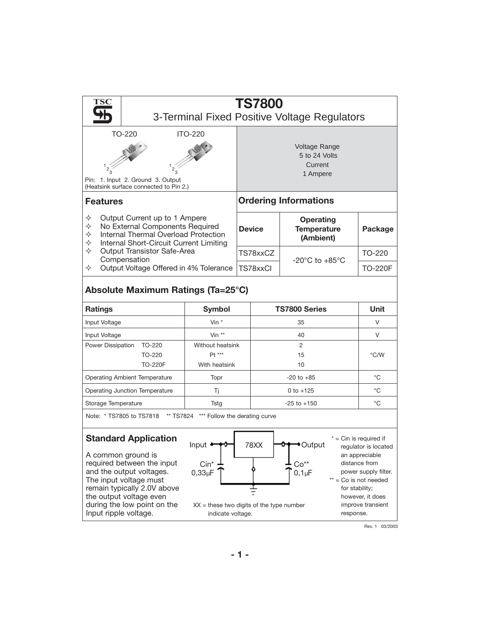

Rev. 1 03/2003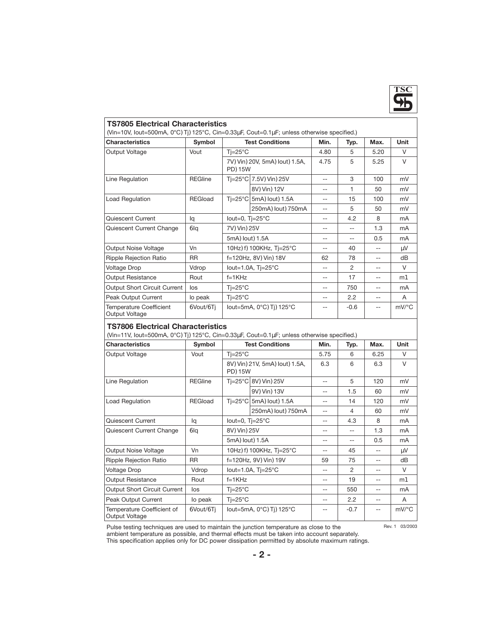

### **TS7805 Electrical Characteristics**

| (Vin=10V, lout=500mA, 0°CATjA125°C, Cin=0.33µF, Cout=0.1µF; unless otherwise specified.) |                |                                      |                              |       |                |      |                     |
|------------------------------------------------------------------------------------------|----------------|--------------------------------------|------------------------------|-------|----------------|------|---------------------|
| <b>Characteristics</b>                                                                   | Symbol         | <b>Test Conditions</b>               |                              | Min.  | Typ.           | Max. | <b>Unit</b>         |
| Output Voltage                                                                           | Vout           | $Ti=25^{\circ}C$                     |                              | 4.80  | 5              | 5.20 | $\vee$              |
|                                                                                          |                | 7VAVinA20V, 5mAAloutA1.5A,<br>PDA15W |                              | 4.75  | 5              | 5.25 | $\vee$              |
| Line Regulation                                                                          | <b>REGline</b> |                                      | Ti=25°C 7.5VAVinA25V         | $-$   | 3              | 100  | mV                  |
|                                                                                          |                |                                      | 8VAVinA12V                   | $-$   | 1              | 50   | mV                  |
| Load Regulation                                                                          | REGload        |                                      | Ti=25°C 5mAAloutA1.5A        | $-$   | 15             | 100  | mV                  |
|                                                                                          |                |                                      | 250mAAloutA750mA             | $-$   | 5              | 50   | mV                  |
| Quiescent Current                                                                        | lq             | lout=0, $Tj = 25^{\circ}C$           |                              | $- -$ | 4.2            | 8    | mA                  |
| Quiescent Current Change                                                                 | O <sub>d</sub> | 7VAVinA25V                           |                              | $-$   | $-$            | 1.3  | mA                  |
|                                                                                          |                | 5mAAloutA1.5A                        |                              |       | $- -$          | 0.5  | mA                  |
| Output Noise Voltage                                                                     | Vn             |                                      | 10HzAfA100KHz, Tj=25°C       |       | 40             | $-$  | μV                  |
| <b>Ripple Rejection Ratio</b>                                                            | <b>RR</b>      |                                      | f=120Hz, 8VAVinA18V          | 62    | 78             | $-$  | dB                  |
| <b>Voltage Drop</b>                                                                      | Vdrop          |                                      | lout=1.0A, $Ti=25^{\circ}$ C | $- -$ | $\mathfrak{p}$ | $-$  | $\vee$              |
| <b>Output Resistance</b>                                                                 | Rout           | $f=1KHz$                             |                              | $- -$ | 17             | $-$  | mK                  |
| <b>Output Short Circuit Current</b>                                                      | los            | $Ti=25^{\circ}C$                     |                              | $- -$ | 750            | $-$  | mA                  |
| Peak Output Current                                                                      | lo peak        | $Ti=25^{\circ}C$                     |                              |       | 2.2            | $-$  | A                   |
| <b>Temperature Coefficient</b><br>Output Voltage                                         | OVout/OTi      |                                      | lout=5mA, 0°CATjA125°C       |       | $-0.6$         | $-$  | $mV$ <sup>o</sup> C |

## **TS7806 Electrical Characteristics**

(Vin=11V, Iout=500mA, 0°C)Tj)125°C, Cin=0.33µF, Cout=0.1µF; unless otherwise specified.)

| <b>Characteristics</b>                       | Symbol         | <b>Test Conditions</b>     |                              | Min. | Typ.           | Max. | <b>Unit</b> |
|----------------------------------------------|----------------|----------------------------|------------------------------|------|----------------|------|-------------|
| Output Voltage                               | Vout           | $Ti=25^{\circ}C$           |                              | 5.75 | 6              | 6.25 | $\vee$      |
|                                              |                | PDA15W                     | 8VAVinA21V, 5mAAloutA1.5A,   | 6.3  | 6              | 6.3  | $\vee$      |
| Line Regulation                              | <b>REGline</b> |                            | Ti=25°C 8VAVinA25V           | --   | 5              | 120  | mV          |
|                                              |                |                            | 9VAVinA13V                   |      | 1.5            | 60   | mV          |
| <b>Load Regulation</b>                       | REGload        |                            | Ti=25°C 5mAAloutA1.5A        |      | 14             | 120  | mV          |
|                                              |                |                            | 250mAAloutA750mA             |      | 4              | 60   | mV          |
| Quiescent Current                            | la             | lout=0, $T = 25^{\circ}$ C |                              | --   | 4.3            | 8    | mA          |
| Quiescent Current Change                     | <b>Olg</b>     | 8VAVinA25V                 |                              |      | $-$            | 1.3  | mA          |
|                                              |                | 5mAAloutA1.5A              |                              |      | $- -$          | 0.5  | mA          |
| Output Noise Voltage                         | Vn             |                            | 10HzAfA100KHz, Tj=25°C       |      | 45             | $-$  | μV          |
| Ripple Rejection Ratio                       | <b>RR</b>      |                            | f=120Hz, 9VAVinA19V          | 59   | 75             | $-$  | dB          |
| <b>Voltage Drop</b>                          | Vdrop          |                            | lout=1.0A, $Ti=25^{\circ}$ C | --   | $\mathfrak{p}$ | $-$  | $\vee$      |
| <b>Output Resistance</b>                     | Rout           | $f=1KHz$                   |                              |      | 19             | $-$  | mK          |
| Output Short Circuit Current                 | los            | $Ti=25^{\circ}C$           |                              |      | 550            | $-$  | mA          |
| Peak Output Current                          | lo peak        | $Ti=25^{\circ}C$           |                              |      | 2.2            | $-$  | A           |
| Temperature Coefficient of<br>Output Voltage | OVout/OTi      |                            | lout=5mA, 0°CATjA125°C       |      | $-0.7$         | $-$  | mV/°C       |

Rev. 1 03/2003

Pulse testing techniques are used to maintain the junction temperature as close to the ambient temperature as possible, and thermal effects must be taken into account separately.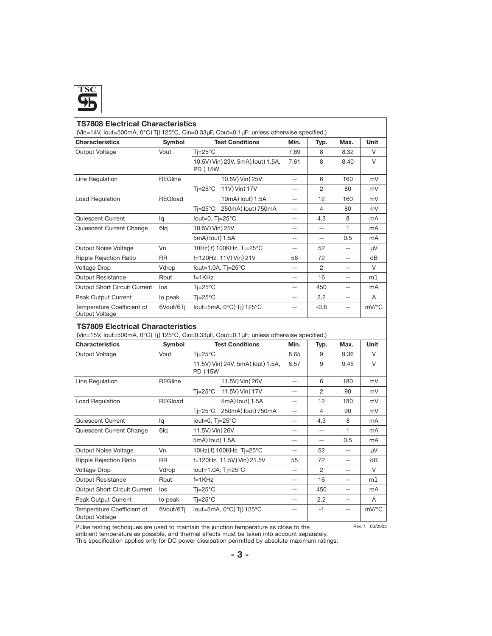

| <b>TS7808 Electrical Characteristics</b><br>(Vin=14V, lout=500mA, 0°CATjA125°C, Cin=0.33µF, Cout=0.1µF; unless otherwise specified.) |                |                            |                               |                          |                          |                          |          |
|--------------------------------------------------------------------------------------------------------------------------------------|----------------|----------------------------|-------------------------------|--------------------------|--------------------------|--------------------------|----------|
| <b>Characteristics</b>                                                                                                               | Symbol         | <b>Test Conditions</b>     |                               | Min.                     | Typ.                     | Max.                     | Unit     |
| Output Voltage                                                                                                                       | Vout           | $Ti=25^{\circ}C$           |                               | 7.69                     | 8                        | 8.32                     | V        |
|                                                                                                                                      |                | PD A15W                    | 10.5VAVinA23V, 5mAAloutA1.5A, | 7.61                     | 8                        | 8.40                     | $\vee$   |
| Line Regulation                                                                                                                      | <b>REGline</b> |                            | 10.5VAVinA25V                 | $\overline{\phantom{a}}$ | 6                        | 160                      | mV       |
|                                                                                                                                      |                | Tj=25°C                    | 11VAVinA17V                   | $-$                      | $\overline{c}$           | 80                       | mV       |
| <b>Load Regulation</b>                                                                                                               | <b>REGload</b> |                            | 10mAAloutA1.5A                | $-$                      | 12                       | 160                      | mV       |
|                                                                                                                                      |                | Ti=25°C                    | 250mAAloutA750mA              | $-$                      | $\overline{4}$           | 80                       | mV       |
| Quiescent Current                                                                                                                    | lq             | lout=0, $Ti=25^{\circ}C$   |                               | $-$                      | 4.3                      | 8                        | mA       |
| Quiescent Current Change                                                                                                             | Olg            | 10.5VAVinA25V              |                               | $\overline{a}$           | $\overline{a}$           | 1                        | mA       |
|                                                                                                                                      |                | 5mAAloutA1.5A              |                               | $-\,-$                   | $\overline{\phantom{a}}$ | 0.5                      | mA       |
| Output Noise Voltage                                                                                                                 | Vn             |                            | 10HzAfA100KHz, Tj=25°C        | $-$                      | 52                       | $\overline{a}$           | μV       |
| <b>Ripple Rejection Ratio</b>                                                                                                        | <b>RR</b>      |                            | f=120Hz, 11VAVinA21V          | 56                       | 72                       | $-$                      | dB       |
| <b>Voltage Drop</b>                                                                                                                  | Vdrop          |                            | lout=1.0A, $Ti=25^{\circ}C$   | $\overline{a}$           | $\overline{c}$           | $-$                      | V        |
| <b>Output Resistance</b>                                                                                                             | Rout           | $f=1KHz$                   |                               | $\overline{a}$           | 16                       | $\overline{a}$           | mK       |
| Output Short Circuit Current                                                                                                         | los            | $Ti=25^{\circ}C$           |                               | $- -$                    | 450                      | $\overline{\phantom{m}}$ | mA       |
| <b>Peak Output Current</b>                                                                                                           | lo peak        | $Ti=25^{\circ}C$           |                               | $-\!$ –                  | 2.2                      | $\overline{\phantom{a}}$ | A        |
| Temperature Coefficient of<br>Output Voltage                                                                                         | OVout/OTj      | lout=5mA, 0°CATjA125°C     |                               | $-$                      | $-0.8$                   | $\overline{a}$           | $mV$ /°C |
| <b>TS7809 Electrical Characteristics</b><br>(Vin=15V, lout=500mA, 0°CATjA125°C, Cin=0.33µF, Cout=0.1µF; unless otherwise specified.) |                |                            |                               |                          |                          |                          |          |
| <b>Characteristics</b>                                                                                                               | Symbol         |                            | <b>Test Conditions</b>        | Min.                     | Typ.                     | Max.                     | Unit     |
| Output Voltage                                                                                                                       | Vout           | $Ti=25^{\circ}C$           |                               | 8.65                     | 9                        | 9.36                     | V        |
|                                                                                                                                      |                | PD A15W                    | 11.5VAVinA24V, 5mAAloutA1.5A, | 8.57                     | 9                        | 9.45                     | $\vee$   |
| Line Regulation                                                                                                                      | <b>REGline</b> |                            | 11.5VAVinA26V                 | $-$                      | 6                        | 180                      | mV       |
|                                                                                                                                      |                | $Ti=25^{\circ}C$           | 11.5VAVinA17V                 | $\overline{a}$           | 2                        | 90                       | mV       |
| <b>Load Regulation</b>                                                                                                               | <b>REGload</b> |                            | 5mAAloutA1.5A                 | $\overline{\phantom{a}}$ | 12                       | 180                      | mV       |
|                                                                                                                                      |                | Ti=25°C                    | 250mAAloutA750mA              | $-$                      | 4                        | 90                       | mV       |
| Quiescent Current                                                                                                                    | lq             | lout=0, $T = 25^{\circ}$ C |                               | $-$                      | 4.3                      | 8                        | mA       |
| Quiescent Current Change                                                                                                             | O <sub>d</sub> | 11.5VAVinA26V              |                               | $-$                      | $-$                      | 1                        | mA       |
|                                                                                                                                      |                | 5mAAloutA1.5A              |                               | $-$                      | $\overline{\phantom{a}}$ | 0.5                      | mA       |
| Output Noise Voltage                                                                                                                 | Vn             |                            | 10HzAfA100KHz, Tj=25°C        | $-$                      | 52                       | $\overline{\phantom{a}}$ | μV       |
| <b>Ripple Rejection Ratio</b>                                                                                                        | <b>RR</b>      |                            | f=120Hz, 11.5VAVinA21.5V      | 55                       | 72                       | $-\,-$                   | dB       |
| <b>Voltage Drop</b>                                                                                                                  | Vdrop          |                            | lout=1.0A, $Ti=25^{\circ}C$   | $\overline{a}$           | 2                        | $\overline{a}$           | V        |
| <b>Output Resistance</b>                                                                                                             | Rout           | f=1KHz                     |                               | $-$                      | 16                       | $-$                      | mK       |
| <b>Output Short Circuit Current</b>                                                                                                  | los            | $Ti=25^{\circ}C$           |                               | --                       | 450                      | $-$                      | mA       |
| Peak Output Current                                                                                                                  | lo peak        | $Ti=25^{\circ}C$           |                               | $\overline{\phantom{a}}$ | 2.2                      | $\overline{\phantom{a}}$ | A        |
| Temperature Coefficient of<br>Output Voltage                                                                                         | OVout/OTj      |                            | lout=5mA, 0°CATjA125°C        | $-$                      | $-1$                     | $\overline{a}$           | $mV$ /°C |

Pulse testing techniques are used to maintain the junction temperature as close to the

Rev. 1 03/2003

ambient temperature as possible, and thermal effects must be taken into account separately.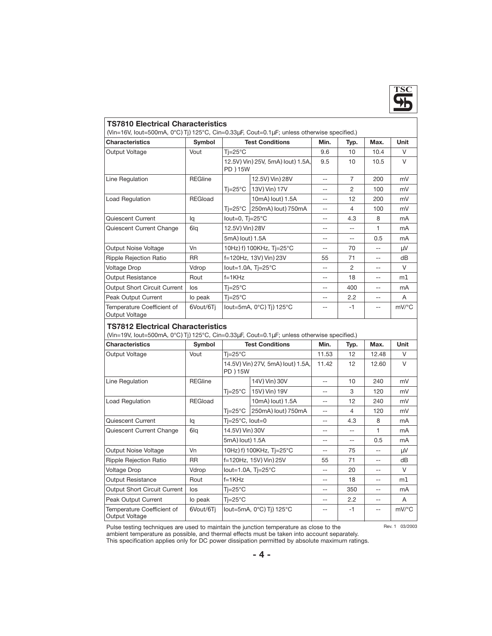

### **TS7810 Electrical Characteristics**

| (Vin=16V, lout=500mA, 0°CATjA125°C, Cin=0.33µF, Cout=0.1µF; unless otherwise specified.) |                |                                          |                               |       |                |      |                     |
|------------------------------------------------------------------------------------------|----------------|------------------------------------------|-------------------------------|-------|----------------|------|---------------------|
| <b>Characteristics</b>                                                                   | Symbol         |                                          | <b>Test Conditions</b>        | Min.  | Typ.           | Max. | <b>Unit</b>         |
| Output Voltage                                                                           | Vout           | $Ti=25^{\circ}C$                         |                               | 9.6   | 10             | 10.4 | $\vee$              |
|                                                                                          |                | 12.5VAVinA25V, 5mAAloutA1.5A,<br>PD A15W |                               | 9.5   | 10             | 10.5 | $\vee$              |
| Line Regulation                                                                          | <b>REGline</b> |                                          | 12.5VAVinA28V                 | $-$   | $\overline{7}$ | 200  | mV                  |
|                                                                                          |                | $Ti=25^{\circ}C$                         | 13VAVinA17V                   | $-$   | 2              | 100  | mV                  |
| Load Regulation                                                                          | REGload        |                                          | 10mAAloutA1.5A                | $-$   | 12             | 200  | mV                  |
|                                                                                          |                | $Ti=25^{\circ}C$                         | 250mAAloutA750mA              | $-$   | 4              | 100  | mV                  |
| Quiescent Current                                                                        | la             | lout=0, $T = 25^{\circ}$ C               |                               | $- -$ | 4.3            | 8    | mA                  |
| Quiescent Current Change                                                                 | O <sub>d</sub> | 12.5VAVinA28V<br>5mAAloutA1.5A           |                               | $- -$ | $-$            | 1    | mA                  |
|                                                                                          |                |                                          |                               |       | $- -$          | 0.5  | mA                  |
| Output Noise Voltage                                                                     | Vn             |                                          | 10HzAfA100KHz, Tj=25°C        |       | 70             | $-$  | μV                  |
| <b>Ripple Rejection Ratio</b>                                                            | <b>RR</b>      |                                          | f=120Hz, 13VAVinA23V          | 55    | 71             | $-$  | dB                  |
| <b>Voltage Drop</b>                                                                      | Vdrop          |                                          | lout=1.0A, $T = 25^{\circ}$ C | $- -$ | $\mathfrak{p}$ | $-$  | V                   |
| <b>Output Resistance</b>                                                                 | Rout           | $f=1KHz$                                 |                               | $- -$ | 18             | $-$  | mK                  |
| <b>Output Short Circuit Current</b>                                                      | los            | $Ti=25^{\circ}C$                         |                               | $- -$ | 400            | $-$  | mA                  |
| Peak Output Current                                                                      | lo peak        | $Ti=25^{\circ}C$                         |                               | $- -$ | 2.2            | $-$  | A                   |
| Temperature Coefficient of<br>Output Voltage                                             | OVout/OTi      |                                          | lout=5mA, 0°CATiA125°C        |       | $-1$           | $-$  | $mV$ <sup>o</sup> C |

# **TS7812 Electrical Characteristics**

| (Vin=19V, lout=500mA, 0°CATjA125°C, Cin=0.33µF, Cout=0.1µF; unless otherwise specified.) |  |  |  |  |  |
|------------------------------------------------------------------------------------------|--|--|--|--|--|
|------------------------------------------------------------------------------------------|--|--|--|--|--|

| <b>Characteristics</b>                                                                                   | Symbol         |                                          | <b>Test Conditions</b>      | Min.  | Typ. | Max.  | <b>Unit</b>         |  |  |
|----------------------------------------------------------------------------------------------------------|----------------|------------------------------------------|-----------------------------|-------|------|-------|---------------------|--|--|
| Output Voltage                                                                                           | Vout           | $Ti=25^{\circ}C$                         |                             | 11.53 | 12   | 12.48 | V                   |  |  |
|                                                                                                          |                | 14.5VAVinA27V, 5mAAloutA1.5A,<br>PD A15W |                             | 11.42 | 12   | 12.60 | $\vee$              |  |  |
| Line Regulation                                                                                          | <b>REGline</b> |                                          | 14VAVinA30V                 | $-$   | 10   | 240   | mV                  |  |  |
|                                                                                                          |                | $Ti=25^{\circ}C$                         | 15VAVinA19V                 | --    | 3    | 120   | mV                  |  |  |
| <b>Load Regulation</b>                                                                                   | <b>REGload</b> |                                          | 10mAAloutA1.5A              | --    | 12   | 240   | mV                  |  |  |
|                                                                                                          |                | $Ti=25^{\circ}C$                         | 250mAAloutA750mA            | $-$   | 4    | 120   | mV                  |  |  |
| Quiescent Current                                                                                        | la             | $Ti=25^{\circ}C$ , lout=0                |                             | --    | 4.3  | 8     | mA                  |  |  |
| Quiescent Current Change                                                                                 | O <sub>d</sub> | 14.5VAVinA30V                            |                             | --    |      | 1     | mA                  |  |  |
|                                                                                                          |                |                                          | 5mAAloutA1.5A               |       | $ -$ | 0.5   | m <sub>A</sub>      |  |  |
| Output Noise Voltage                                                                                     | Vn             |                                          | 10HzAfA100KHz, Tj=25°C      | --    | 75   | --    | μV                  |  |  |
| <b>Ripple Rejection Ratio</b>                                                                            | <b>RR</b>      |                                          | f=120Hz, 15VAVinA25V        | 55    | 71   | --    | dВ                  |  |  |
| <b>Voltage Drop</b>                                                                                      | Vdrop          |                                          | lout=1.0A, $Tj=25^{\circ}C$ | --    | 20   | --    | V                   |  |  |
| <b>Output Resistance</b>                                                                                 | Rout           | $f=1KHz$                                 |                             | --    | 18   | --    | mK                  |  |  |
| <b>Output Short Circuit Current</b>                                                                      | los            | $Ti=25^{\circ}C$                         |                             | --    | 350  | --    | mA                  |  |  |
| Peak Output Current                                                                                      | lo peak        | $Ti=25^{\circ}C$                         |                             | --    | 2.2  | $-$   | A                   |  |  |
| Temperature Coefficient of<br>Output Voltage                                                             | OVout/OTi      | lout=5mA, 0°CATjA125°C                   |                             | --    | $-1$ | --    | $mV$ <sup>o</sup> C |  |  |
| Rev. 1 03/2003<br>Pulse testing techniques are used to maintain the junction temperature as close to the |                |                                          |                             |       |      |       |                     |  |  |

Pulse testing techniques are used to maintain the junction temperature as close to the ambient temperature as possible, and thermal effects must be taken into account separately.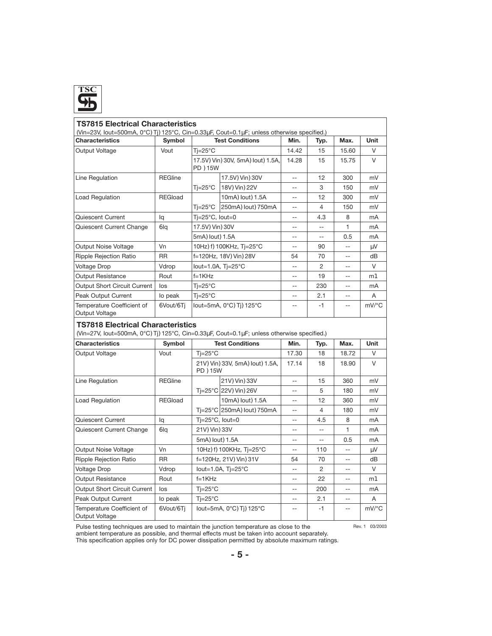

| <b>TS7815 Electrical Characteristics</b><br>(Vin=23V, lout=500mA, 0°CATjA125°C, Cin=0.33µF, Cout=0.1µF; unless otherwise specified.) |                |                            |                               |                |                          |                          |          |
|--------------------------------------------------------------------------------------------------------------------------------------|----------------|----------------------------|-------------------------------|----------------|--------------------------|--------------------------|----------|
| <b>Characteristics</b>                                                                                                               | Symbol         | <b>Test Conditions</b>     |                               | Min.           | Typ.                     | Max.                     | Unit     |
| Output Voltage                                                                                                                       | Vout           | $Ti=25^{\circ}C$           |                               | 14.42          | 15                       | 15.60                    | V        |
|                                                                                                                                      |                | PD A15W                    | 17.5VAVinA30V, 5mAAloutA1.5A, | 14.28          | 15                       | 15.75                    | $\vee$   |
| Line Regulation                                                                                                                      | <b>REGline</b> |                            | 17.5VAVinA30V                 | $-$            | 12                       | 300                      | mV       |
|                                                                                                                                      |                | Tj=25°C                    | 18VAVinA22V                   | --             | 3                        | 150                      | mV       |
| Load Regulation                                                                                                                      | <b>REGload</b> |                            | 10mAAloutA1.5A                | $-$            | 12                       | 300                      | mV       |
|                                                                                                                                      |                | $Ti=25^{\circ}C$           | 250mAAloutA750mA              | $\overline{a}$ | $\overline{4}$           | 150                      | mV       |
| Quiescent Current                                                                                                                    | lq             | Tj=25°C, lout=0            |                               | --             | 4.3                      | 8                        | mA       |
| Quiescent Current Change                                                                                                             | Ola            | 17.5VAVinA30V              |                               | $- -$          | $\overline{\phantom{m}}$ | 1                        | mA       |
|                                                                                                                                      |                | 5mAAloutA1.5A              |                               | $\overline{a}$ | $\overline{a}$           | 0.5                      | mA       |
| Output Noise Voltage                                                                                                                 | Vn             |                            | 10HzAfA100KHz, Tj=25°C        | $-$            | 90                       | $-$                      | μV       |
| Ripple Rejection Ratio                                                                                                               | <b>RR</b>      |                            | f=120Hz, 18VAVinA28V          | 54             | 70                       |                          | dВ       |
| <b>Voltage Drop</b>                                                                                                                  | Vdrop          |                            | lout=1.0A, $Tj=25^{\circ}C$   | $\overline{a}$ | $\overline{2}$           | $\overline{\phantom{a}}$ | $\vee$   |
| <b>Output Resistance</b>                                                                                                             | Rout           | $f=1KHz$                   |                               | $-$            | 19                       | $-$                      | mK       |
| Output Short Circuit Current                                                                                                         | los            | $Ti=25^{\circ}C$           |                               | $-$            | 230                      | $\overline{a}$           | mA       |
| <b>Peak Output Current</b>                                                                                                           | lo peak        | $Ti=25^{\circ}C$           |                               | --             | 2.1                      | $-$                      | A        |
| Temperature Coefficient of<br>Output Voltage                                                                                         | OVout/OTj      | lout=5mA, 0°CATjA125°C     |                               |                | $-1$                     |                          | $mV$ /°C |
| <b>TS7818 Electrical Characteristics</b><br>(Vin=27V, lout=500mA, 0°CATjA125°C, Cin=0.33µF, Cout=0.1µF; unless otherwise specified.) |                |                            |                               |                |                          |                          |          |
| <b>Characteristics</b>                                                                                                               | Symbol         |                            | <b>Test Conditions</b>        | Min.           | Typ.                     | Max.                     | Unit     |
| Output Voltage                                                                                                                       | Vout           | $Ti=25^{\circ}C$           |                               | 17.30          | 18                       | 18.72                    | V        |
|                                                                                                                                      |                | PD A15W                    | 21VAVinA33V, 5mAAloutA1.5A,   | 17.14          | 18                       | 18.90                    | V        |
| Line Regulation                                                                                                                      | <b>REGline</b> |                            | 21VAVinA33V                   | $-$            | 15                       | 360                      | mV       |
|                                                                                                                                      |                |                            | Ti=25°C 22VAVinA26V           | $-$            | 5                        | 180                      | mV       |
| Load Regulation                                                                                                                      | REGload        |                            | 10mAAloutA1.5A                | $\overline{a}$ | 12                       | 360                      | mV       |
|                                                                                                                                      |                |                            | Ti=25°C 250mAAloutA750mA      | $-$            | $\overline{4}$           | 180                      | mV       |
| Quiescent Current                                                                                                                    | lq             | $T = 25^{\circ}$ C, lout=0 |                               | $-$            | 4.5                      | 8                        | mA       |
| Quiescent Current Change                                                                                                             | Olq            | 21VAVinA33V                |                               | $-$            | $-$                      | 1                        | mA       |
|                                                                                                                                      |                | 5mAAloutA1.5A              |                               | $\overline{a}$ | $\overline{\phantom{a}}$ | 0.5                      | mA       |
| Output Noise Voltage                                                                                                                 | Vn             |                            | 10HzAfA100KHz, Tj=25°C        | $- -$          | 110                      | $\overline{\phantom{a}}$ | μV       |
| <b>Ripple Rejection Ratio</b>                                                                                                        | <b>RR</b>      |                            | f=120Hz, 21VAVinA31V          | 54             | 70                       | $-\,-$                   | dB       |
| <b>Voltage Drop</b>                                                                                                                  | Vdrop          |                            | lout=1.0A, $Tj=25^{\circ}C$   | $-$            | 2                        | $\overline{a}$           | V        |
| <b>Output Resistance</b>                                                                                                             | Rout           | $f=1KHz$                   |                               | $-$            | 22                       | $\overline{\phantom{a}}$ | mK       |
| <b>Output Short Circuit Current</b>                                                                                                  | los            | $Ti=25^{\circ}C$           |                               | $-$            | 200                      |                          | mA       |
| <b>Peak Output Current</b>                                                                                                           | lo peak        | $Ti=25^{\circ}C$           |                               | $-$            | 2.1                      | $\overline{\phantom{a}}$ | A        |
| Temperature Coefficient of<br>Output Voltage                                                                                         | OVout/OTj      |                            | lout=5mA, 0°CATjA125°C        | $\overline{a}$ | $-1$                     | $\overline{a}$           | mV/°C    |

Pulse testing techniques are used to maintain the junction temperature as close to the

Rev. 1 03/2003

ambient temperature as possible, and thermal effects must be taken into account separately.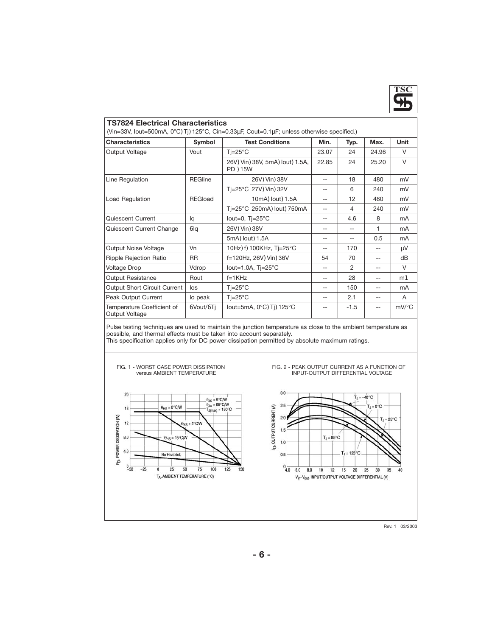

#### **TS7824 Electrical Characteristics**

 $\vert$  (Vin=33V, Iout=500mA, 0°CATjA125°C, Cin=0.33µF, Cout=0.1µF; unless otherwise specified.)

| <b>Characteristics</b>                       | Symbol         |                                        | <b>Test Conditions</b>       | Min.  | Typ.   | Max.  | <b>Unit</b> |  |  |  |
|----------------------------------------------|----------------|----------------------------------------|------------------------------|-------|--------|-------|-------------|--|--|--|
| Output Voltage                               | Vout           | $Ti=25^{\circ}C$                       |                              | 23.07 | 24     | 24.96 | $\vee$      |  |  |  |
|                                              |                | 26VAVinA38V, 5mAAloutA1.5A,<br>PD A15W |                              | 22.85 | 24     | 25.20 | $\vee$      |  |  |  |
| Line Regulation                              | <b>REGline</b> |                                        | 26VAVinA38V                  | --    | 18     | 480   | mV          |  |  |  |
|                                              |                |                                        | Tj=25°C 27VAVinA32V          | --    | 6      | 240   | mV          |  |  |  |
| <b>Load Regulation</b>                       | <b>REGload</b> |                                        | 10mAAloutA1.5A               | --    | 12     | 480   | mV          |  |  |  |
|                                              |                |                                        | Ti=25°C 250mAAloutA750mA     | --    | 4      | 240   | mV          |  |  |  |
| Quiescent Current                            | lq             | lout=0, $Ti=25^{\circ}C$               |                              | --    | 4.6    | 8     | mA          |  |  |  |
| Quiescent Current Change                     | <b>Olg</b>     | 26VAVinA38V                            |                              | --    | $- -$  | 1     | mA          |  |  |  |
|                                              |                | 5mAAloutA1.5A                          |                              | --    | $- -$  | 0.5   | mA          |  |  |  |
| Output Noise Voltage                         | Vn             |                                        | 10HzAfA100KHz, Tj=25°C       | --    | 170    | --    | μV          |  |  |  |
| Ripple Rejection Ratio                       | <b>RR</b>      |                                        | f=120Hz, 26VAVinA36V         | 54    | 70     | $- -$ | dB          |  |  |  |
| <b>Voltage Drop</b>                          | Vdrop          |                                        | lout=1.0A, $Ti=25^{\circ}$ C | --    | 2      | --    | $\vee$      |  |  |  |
| <b>Output Resistance</b>                     | Rout           | $f=1KHz$                               |                              | --    | 28     | $- -$ | mK          |  |  |  |
| Output Short Circuit Current                 | los            | $Ti=25^{\circ}C$                       |                              | --    | 150    | $- -$ | mA          |  |  |  |
| Peak Output Current                          | lo peak        | $Ti=25^{\circ}C$                       |                              |       | 2.1    | $- -$ | A           |  |  |  |
| Temperature Coefficient of<br>Output Voltage | OVout/OTi      |                                        | lout=5mA, 0°CATjA125°C       |       | $-1.5$ | $-$   | mV/°C       |  |  |  |

Pulse testing techniques are used to maintain the junction temperature as close to the ambient temperature as possible, and thermal effects must be taken into account separately.

This specification applies only for DC power dissipation permitted by absolute maximum ratings.



Rev. 1 03/2003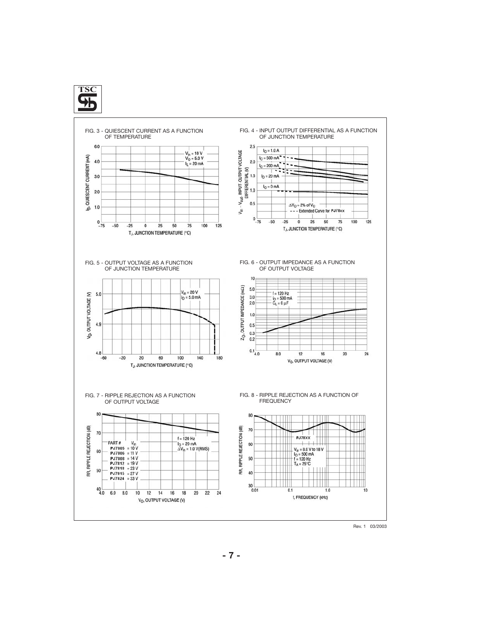